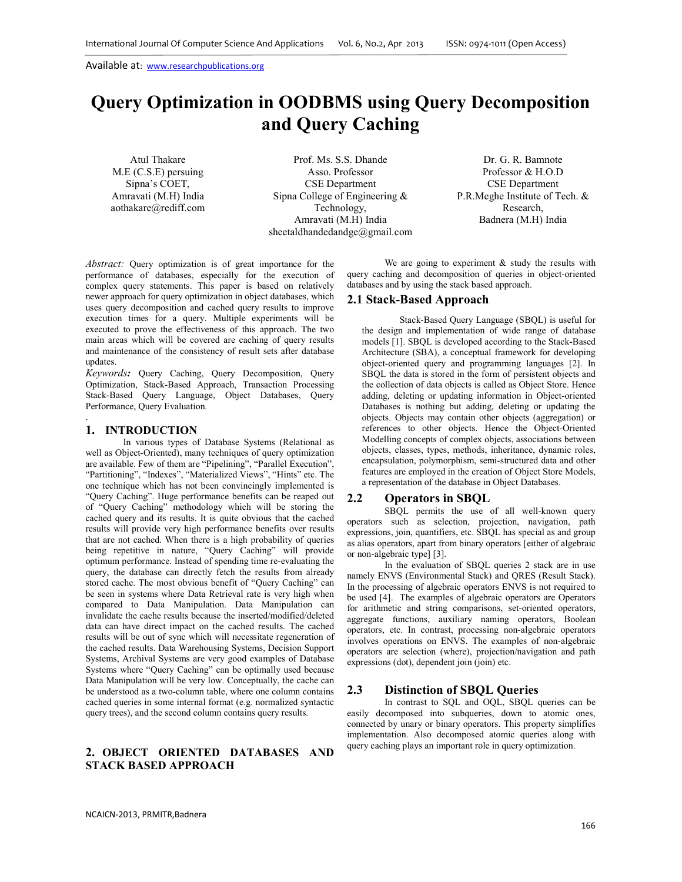# **Query Optimization in OODBMS using Query Decomposition and Query Caching**

Atul Thakare M.E (C.S.E) persuing Sipna's COET, Amravati (M.H) India aothakare@rediff.com

Prof. Ms. S.S. Dhande Asso. Professor CSE Department Sipna College of Engineering & Technology, Amravati (M.H) India sheetaldhandedandge@gmail.com

Dr. G. R. Bamnote Professor & H.O.D CSE Department P.R.Meghe Institute of Tech. & Research, Badnera (M.H) India

*Abstract:* Query optimization is of great importance for the performance of databases, especially for the execution of complex query statements. This paper is based on relatively newer approach for query optimization in object databases, which uses query decomposition and cached query results to improve execution times for a query. Multiple experiments will be executed to prove the effectiveness of this approach. The two main areas which will be covered are caching of query results and maintenance of the consistency of result sets after database updates.

*Keywords:* Query Caching, Query Decomposition, Query Optimization, Stack-Based Approach, Transaction Processing Stack-Based Query Language, Object Databases, Query Performance, Query Evaluation. .

## **1. INTRODUCTION**

In various types of Database Systems (Relational as well as Object-Oriented), many techniques of query optimization are available. Few of them are "Pipelining", "Parallel Execution", "Partitioning", "Indexes", "Materialized Views", "Hints" etc. The one technique which has not been convincingly implemented is "Query Caching". Huge performance benefits can be reaped out of "Query Caching" methodology which will be storing the cached query and its results. It is quite obvious that the cached results will provide very high performance benefits over results that are not cached. When there is a high probability of queries being repetitive in nature, "Query Caching" will provide optimum performance. Instead of spending time re-evaluating the query, the database can directly fetch the results from already stored cache. The most obvious benefit of "Query Caching" can be seen in systems where Data Retrieval rate is very high when compared to Data Manipulation. Data Manipulation can invalidate the cache results because the inserted/modified/deleted data can have direct impact on the cached results. The cached results will be out of sync which will necessitate regeneration of the cached results. Data Warehousing Systems, Decision Support Systems, Archival Systems are very good examples of Database Systems where "Query Caching" can be optimally used because Data Manipulation will be very low. Conceptually, the cache can be understood as a two-column table, where one column contains cached queries in some internal format (e.g. normalized syntactic query trees), and the second column contains query results.

## **2. OBJECT ORIENTED DATABASES AND STACK BASED APPROACH**

We are going to experiment  $\&$  study the results with query caching and decomposition of queries in object-oriented databases and by using the stack based approach.

#### **2.1 Stack-Based Approach**

Stack-Based Query Language (SBQL) is useful for the design and implementation of wide range of database models [1]. SBQL is developed according to the Stack-Based Architecture (SBA), a conceptual framework for developing object-oriented query and programming languages [2]. In SBQL the data is stored in the form of persistent objects and the collection of data objects is called as Object Store. Hence adding, deleting or updating information in Object-oriented Databases is nothing but adding, deleting or updating the objects. Objects may contain other objects (aggregation) or references to other objects. Hence the Object-Oriented Modelling concepts of complex objects, associations between objects, classes, types, methods, inheritance, dynamic roles, encapsulation, polymorphism, semi-structured data and other features are employed in the creation of Object Store Models, a representation of the database in Object Databases.

#### **2.2 Operators in SBQL**

SBOL permits the use of all well-known query operators such as selection, projection, navigation, path expressions, join, quantifiers, etc. SBQL has special as and group as alias operators, apart from binary operators [either of algebraic or non-algebraic type] [3].

In the evaluation of SBQL queries 2 stack are in use namely ENVS (Environmental Stack) and QRES (Result Stack). In the processing of algebraic operators ENVS is not required to be used [4]. The examples of algebraic operators are Operators for arithmetic and string comparisons, set-oriented operators, aggregate functions, auxiliary naming operators, Boolean operators, etc. In contrast, processing non-algebraic operators involves operations on ENVS. The examples of non-algebraic operators are selection (where), projection/navigation and path expressions (dot), dependent join (join) etc.

#### **2.3 Distinction of SBQL Queries**

In contrast to SQL and OQL, SBQL queries can be easily decomposed into subqueries, down to atomic ones, connected by unary or binary operators. This property simplifies implementation. Also decomposed atomic queries along with query caching plays an important role in query optimization.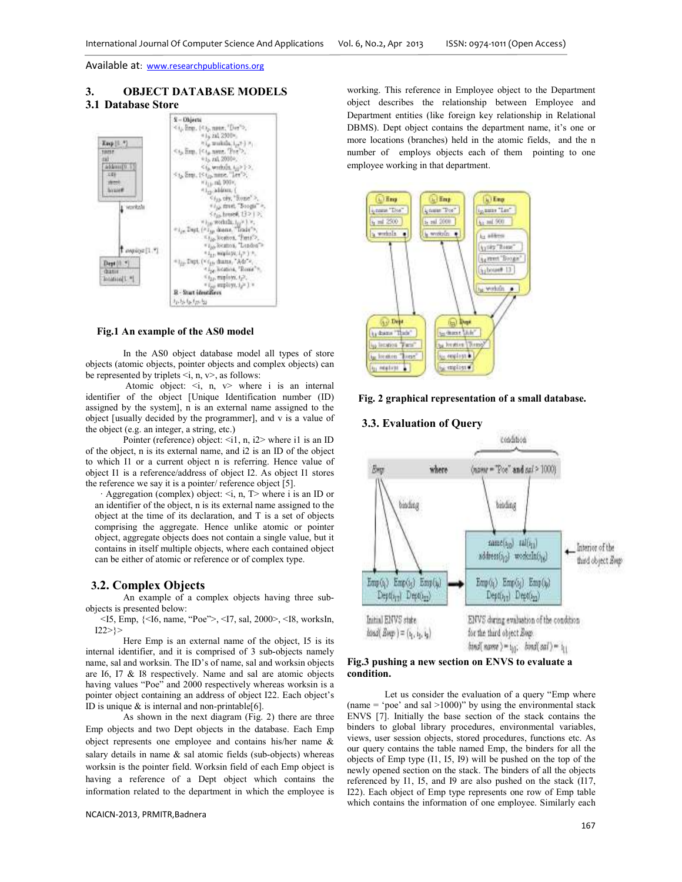# **3. OBJECT DATABASE MODELS**

# **3.1 Database Store**



#### **Fig.1 An example of the AS0 model**

In the AS0 object database model all types of store objects (atomic objects, pointer objects and complex objects) can be represented by triplets  $\le i$ , n,  $v$ , as follows:

Atomic object:  $\le i$ , n,  $v$  where i is an internal identifier of the object [Unique Identification number (ID) assigned by the system], n is an external name assigned to the object [usually decided by the programmer], and v is a value of the object (e.g. an integer, a string, etc.)

Pointer (reference) object:  $\leq$ i1, n, i2> where i1 is an ID of the object, n is its external name, and i2 is an ID of the object to which I1 or a current object n is referring. Hence value of object I1 is a reference/address of object I2. As object I1 stores the reference we say it is a pointer/ reference object [5].

Aggregation (complex) object:  $\le i$ , n,  $T$  where i is an ID or an identifier of the object, n is its external name assigned to the object at the time of its declaration, and T is a set of objects comprising the aggregate. Hence unlike atomic or pointer object, aggregate objects does not contain a single value, but it contains in itself multiple objects, where each contained object can be either of atomic or reference or of complex type.

## **3.2. Complex Objects**

An example of a complex objects having three subobjects is presented below:

<I5, Emp, {<I6, name, "Poe">, <I7, sal, 2000>, <I8, worksIn,  $122>\}$ 

Here Emp is an external name of the object, I5 is its internal identifier, and it is comprised of 3 sub-objects namely name, sal and worksin. The ID's of name, sal and worksin objects are I6, I7 & I8 respectively. Name and sal are atomic objects having values "Poe" and 2000 respectively whereas worksin is a pointer object containing an address of object I22. Each object's ID is unique  $\&$  is internal and non-printable[6].

As shown in the next diagram (Fig. 2) there are three Emp objects and two Dept objects in the database. Each Emp object represents one employee and contains his/her name & salary details in name  $\&$  sal atomic fields (sub-objects) whereas worksin is the pointer field. Worksin field of each Emp object is having a reference of a Dept object which contains the information related to the department in which the employee is

working. This reference in Employee object to the Department object describes the relationship between Employee and Department entities (like foreign key relationship in Relational DBMS). Dept object contains the department name, it's one or more locations (branches) held in the atomic fields, and the n number of employs objects each of them pointing to one employee working in that department.



### **Fig. 2 graphical representation of a small database.**

#### **3.3. Evaluation of Query**



#### **Fig.3 pushing a new section on ENVS to evaluate a condition.**

Let us consider the evaluation of a query "Emp where (name  $=$  'poe' and sal  $>1000$ )" by using the environmental stack ENVS [7]. Initially the base section of the stack contains the binders to global library procedures, environmental variables, views, user session objects, stored procedures, functions etc. As our query contains the table named Emp, the binders for all the objects of Emp type (I1, I5, I9) will be pushed on the top of the newly opened section on the stack. The binders of all the objects referenced by I1, I5, and I9 are also pushed on the stack (I17, I22). Each object of Emp type represents one row of Emp table which contains the information of one employee. Similarly each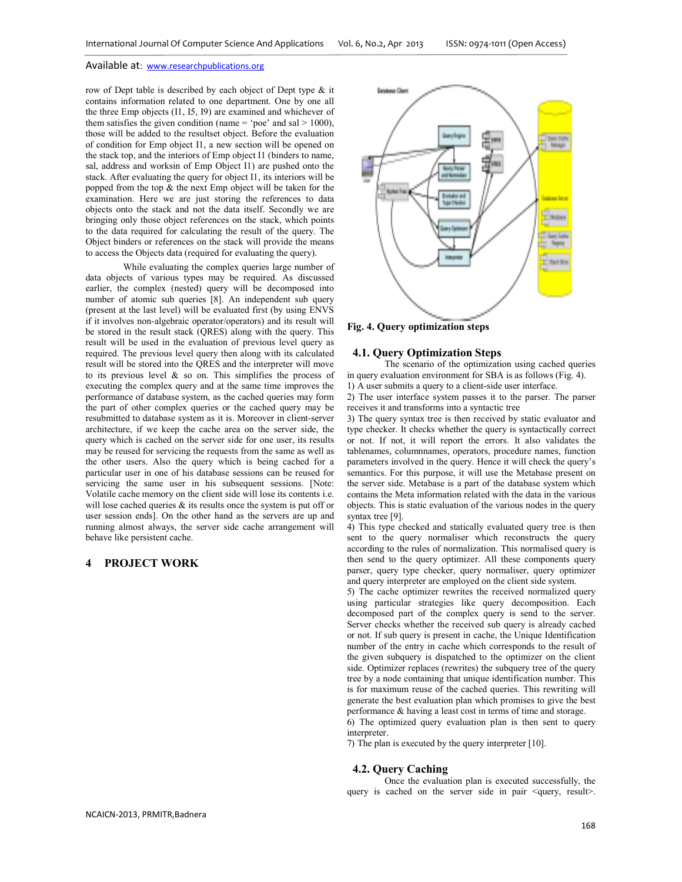row of Dept table is described by each object of Dept type & it contains information related to one department. One by one all the three Emp objects (I1, I5, I9) are examined and whichever of them satisfies the given condition (name = 'poe' and sal  $> 1000$ ), those will be added to the resultset object. Before the evaluation of condition for Emp object I1, a new section will be opened on the stack top, and the interiors of Emp object I1 (binders to name, sal, address and worksin of Emp Object I1) are pushed onto the stack. After evaluating the query for object I1, its interiors will be popped from the top  $&$  the next Emp object will be taken for the examination. Here we are just storing the references to data objects onto the stack and not the data itself. Secondly we are bringing only those object references on the stack, which points to the data required for calculating the result of the query. The Object binders or references on the stack will provide the means to access the Objects data (required for evaluating the query).

While evaluating the complex queries large number of data objects of various types may be required. As discussed earlier, the complex (nested) query will be decomposed into number of atomic sub queries [8]. An independent sub query (present at the last level) will be evaluated first (by using ENVS if it involves non-algebraic operator/operators) and its result will be stored in the result stack (QRES) along with the query. This result will be used in the evaluation of previous level query as required. The previous level query then along with its calculated result will be stored into the QRES and the interpreter will move to its previous level  $\&$  so on. This simplifies the process of executing the complex query and at the same time improves the performance of database system, as the cached queries may form the part of other complex queries or the cached query may be resubmitted to database system as it is. Moreover in client-server architecture, if we keep the cache area on the server side, the query which is cached on the server side for one user, its results may be reused for servicing the requests from the same as well as the other users. Also the query which is being cached for a particular user in one of his database sessions can be reused for servicing the same user in his subsequent sessions. [Note: Volatile cache memory on the client side will lose its contents i.e. will lose cached queries  $\&$  its results once the system is put off or user session ends]. On the other hand as the servers are up and running almost always, the server side cache arrangement will behave like persistent cache.

# **4 PROJECT WORK**



**Fig. 4. Query optimization steps** 

#### **4.1. Query Optimization Steps**

The scenario of the optimization using cached queries in query evaluation environment for SBA is as follows (Fig. 4). 1) A user submits a query to a client-side user interface.

2) The user interface system passes it to the parser. The parser receives it and transforms into a syntactic tree

3) The query syntax tree is then received by static evaluator and type checker. It checks whether the query is syntactically correct or not. If not, it will report the errors. It also validates the tablenames, columnnames, operators, procedure names, function parameters involved in the query. Hence it will check the query's semantics. For this purpose, it will use the Metabase present on the server side. Metabase is a part of the database system which contains the Meta information related with the data in the various objects. This is static evaluation of the various nodes in the query syntax tree [9].

4) This type checked and statically evaluated query tree is then sent to the query normaliser which reconstructs the query according to the rules of normalization. This normalised query is then send to the query optimizer. All these components query parser, query type checker, query normaliser, query optimizer and query interpreter are employed on the client side system.

5) The cache optimizer rewrites the received normalized query using particular strategies like query decomposition. Each decomposed part of the complex query is send to the server. Server checks whether the received sub query is already cached or not. If sub query is present in cache, the Unique Identification number of the entry in cache which corresponds to the result of the given subquery is dispatched to the optimizer on the client side. Optimizer replaces (rewrites) the subquery tree of the query tree by a node containing that unique identification number. This is for maximum reuse of the cached queries. This rewriting will generate the best evaluation plan which promises to give the best performance & having a least cost in terms of time and storage.

6) The optimized query evaluation plan is then sent to query interpreter.

7) The plan is executed by the query interpreter [10].

#### **4.2. Query Caching**

Once the evaluation plan is executed successfully, the query is cached on the server side in pair <query, result>.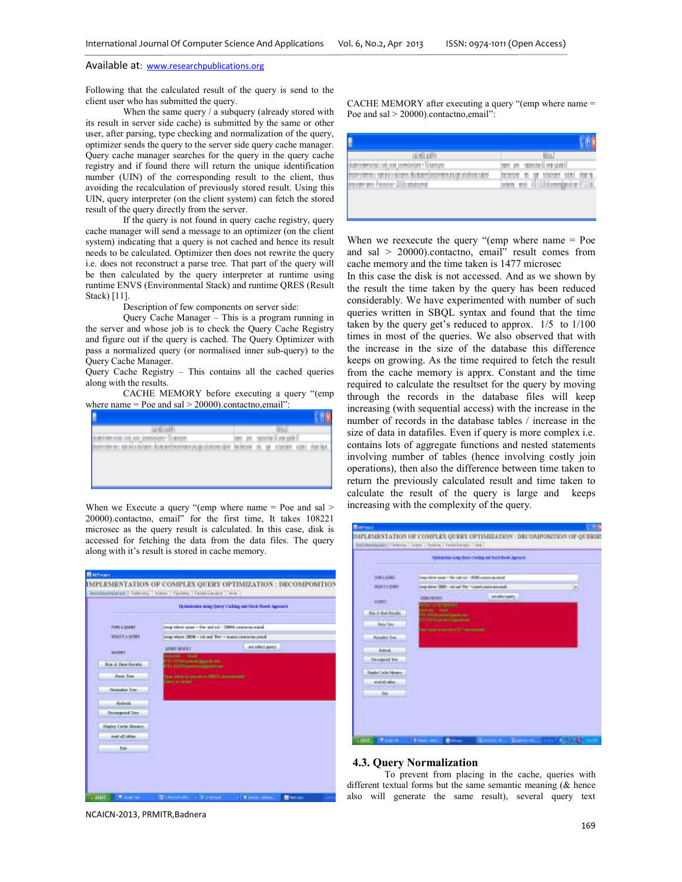Following that the calculated result of the query is send to the client user who has submitted the query.

When the same query / a subquery (already stored with its result in server side cache) is submitted by the same or other user, after parsing, type checking and normalization of the query, optimizer sends the query to the server side query cache manager. Query cache manager searches for the query in the query cache registry and if found there will return the unique identification number (UIN) of the corresponding result to the client, thus avoiding the recalculation of previously stored result. Using this UIN, query interpreter (on the client system) can fetch the stored result of the query directly from the server.

If the query is not found in query cache registry, query cache manager will send a message to an optimizer (on the client system) indicating that a query is not cached and hence its result needs to be calculated. Optimizer then does not rewrite the query i.e. does not reconstruct a parse tree. That part of the query will be then calculated by the query interpreter at runtime using runtime ENVS (Environmental Stack) and runtime QRES (Result Stack) [11].

Description of few components on server side:

Query Cache Manager – This is a program running in the server and whose job is to check the Query Cache Registry and figure out if the query is cached. The Query Optimizer with pass a normalized query (or normalised inner sub-query) to the Query Cache Manager.

Query Cache Registry – This contains all the cached queries along with the results.

CACHE MEMORY before executing a query "(emp where name  $=$  Poe and sal  $>$  20000).contactno, email":

| <b>MARKET</b>                                                                                                                       | 'nн<br>н                                                                     |
|-------------------------------------------------------------------------------------------------------------------------------------|------------------------------------------------------------------------------|
| <b>Station</b><br>comment and commer-                                                                                               | <b>DEPARTED HER SERVER</b><br>w<br>m<br>n an an an an a<br><b>STATISTICS</b> |
| becomes about your code and a declaration of<br><b>THE CONTRACTOR CONTRACT</b><br>provided a product of the first product<br>m<br>٠ | 10,000 101<br>m<br><b>Millen Brown</b><br>m<br><b>Search Commerce</b><br>m   |
|                                                                                                                                     |                                                                              |
|                                                                                                                                     |                                                                              |
|                                                                                                                                     |                                                                              |
|                                                                                                                                     |                                                                              |

When we Execute a query "(emp where name = Poe and sal > 20000).contactno, email" for the first time, It takes 108221 microsec as the query result is calculated. In this case, disk is accessed for fetching the data from the data files. The query along with it's result is stored in cache memory.

|                                |                                                                          | lipticizates ming (pery Calling rad Stath-Rood Approxis) |
|--------------------------------|--------------------------------------------------------------------------|----------------------------------------------------------|
| TITE & DIXXY                   | iverg where issue - The and cut - 20000 restricts rund.                  | <b>CONTRACTOR</b> PRODUCT                                |
| <b>MERCE A DOBIT</b>           | Image where 20000 is and You'll find a contract angular                  |                                                          |
|                                | <b>GERRY JULIE 1</b>                                                     | int robott quart.                                        |
| <b>GESSWEET</b>                | <b>COLOREDO</b><br><b>GONE</b><br>FOR 14 STAR Announcement operation and |                                                          |
| <b>Raw &amp; Sheet Recurso</b> | 111-111-11-0-and-i-walkupadi ing                                         |                                                          |
| <b>Paint Tree</b>              | The silver is conserved to 200711 to executively                         |                                                          |
| <b>Horizonlaw Trees</b>        | <b>Deserva-cadami</b>                                                    |                                                          |
| <b>Sellett</b>                 |                                                                          |                                                          |
| Decreased Tree                 |                                                                          |                                                          |
| <b>Display Carlie Mensury</b>  |                                                                          |                                                          |
| real all ishley                |                                                                          |                                                          |
| Ext.                           |                                                                          |                                                          |
|                                |                                                                          |                                                          |

CACHE MEMORY after executing a query "(emp where name = Poe and sal > 20000).contactno,email":

| an an                                        |                                              |
|----------------------------------------------|----------------------------------------------|
| <b>SALE EXECUTIVE</b><br><b>Station</b>      | <b>Marchell Inc</b>                          |
| <b>MONT</b><br><b>STELL</b>                  | <b>COMMERCIAL</b><br>計画<br>w                 |
| <b>Barbara Maria 19</b><br><b>STEEP</b><br>m | ЧA II<br>anning and CO<br>m<br><b>THE PE</b> |
|                                              |                                              |

When we reexecute the query "(emp where name = Poe and sal > 20000).contactno, email" result comes from cache memory and the time taken is 1477 microsec

In this case the disk is not accessed. And as we shown by the result the time taken by the query has been reduced considerably. We have experimented with number of such queries written in SBQL syntax and found that the time taken by the query get's reduced to approx. 1/5 to 1/100 times in most of the queries. We also observed that with the increase in the size of the database this difference keeps on growing. As the time required to fetch the result from the cache memory is apprx. Constant and the time required to calculate the resultset for the query by moving through the records in the database files will keep increasing (with sequential access) with the increase in the number of records in the database tables / increase in the size of data in datafiles. Even if query is more complex i.e. contains lots of aggregate functions and nested statements involving number of tables (hence involving costly join operations), then also the difference between time taken to return the previously calculated result and time taken to calculate the result of the query is large and keeps increasing with the complexity of the query.



#### **4.3. Query Normalization**

To prevent from placing in the cache, queries with different textual forms but the same semantic meaning ( $\&$  hence also will generate the same result), several query text

NCAICN-2013, PRMITR,Badnera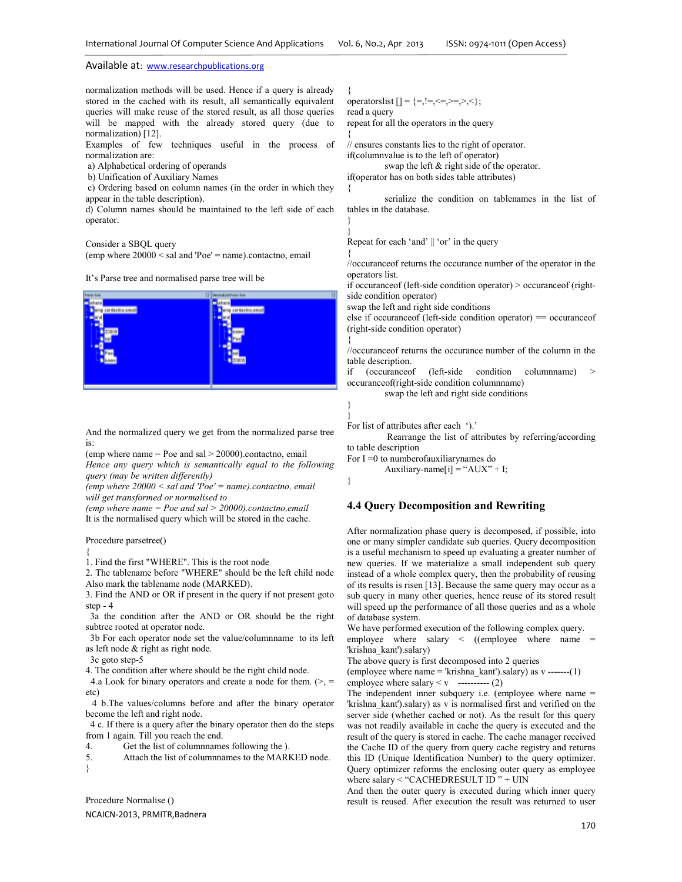normalization methods will be used. Hence if a query is already stored in the cached with its result, all semantically equivalent queries will make reuse of the stored result, as all those queries will be mapped with the already stored query (due to normalization) [12].

Examples of few techniques useful in the process of normalization are:

- a) Alphabetical ordering of operands
- b) Unification of Auxiliary Names

 c) Ordering based on column names (in the order in which they appear in the table description).

d) Column names should be maintained to the left side of each operator.

Consider a SBQL query

(emp where 20000 < sal and 'Poe' = name).contactno, email

It's Parse tree and normalised parse tree will be



And the normalized query we get from the normalized parse tree is:

(emp where name  $=$  Poe and sal  $>$  20000).contactno, email

*Hence any query which is semantically equal to the following query (may be written differently)* 

*(emp where 20000 < sal and 'Poe' = name).contactno, email will get transformed or normalised to* 

*(emp where name = Poe and sal > 20000).contactno,email*  It is the normalised query which will be stored in the cache.

Procedure parsetree()

{

1. Find the first "WHERE". This is the root node

2. The tablename before "WHERE" should be the left child node Also mark the tablename node (MARKED).

3. Find the AND or OR if present in the query if not present goto step - 4

 3a the condition after the AND or OR should be the right subtree rooted at operator node.

 3b For each operator node set the value/columnname to its left as left node & right as right node.

3c goto step-5

4. The condition after where should be the right child node.

4.a Look for binary operators and create a node for them.  $(>$ , = etc)

 4 b.The values/columns before and after the binary operator become the left and right node.

 4 c. If there is a query after the binary operator then do the steps from 1 again. Till you reach the end.<br>4. Get the list of columnname

4. Get the list of columnames following the ).<br>5. Attach the list of columnames to the MAR

Attach the list of columnnames to the MARKED node. }

Procedure Normalise ()

NCAICN-2013, PRMITR,Badnera

{ operatorslist  $[] = \{=, |=, <=, >=, >\}$ ; read a query repeat for all the operators in the query

{

{

} }

{

{

} }

}

// ensures constants lies to the right of operator.

if(columnvalue is to the left of operator)

 swap the left & right side of the operator. if(operator has on both sides table attributes)

 serialize the condition on tablenames in the list of tables in the database.

Repeat for each 'and' || 'or' in the query

//occuranceof returns the occurance number of the operator in the operators list.

if occuranceof (left-side condition operator) > occuranceof (rightside condition operator)

swap the left and right side conditions

 $else$  if occurance of (left-side condition operator) = occurance of (right-side condition operator)

//occuranceof returns the occurance number of the column in the table description.

if (occurance of (left-side condition columnname) occuranceof(right-side condition columnname)

swap the left and right side conditions

```
For list of attributes after each ').'
```
 Rearrange the list of attributes by referring/according to table description

For  $I = 0$  to numberofauxiliarynames do Auxiliary-name[i] = "AUX" + I;

#### **4.4 Query Decomposition and Rewriting**

After normalization phase query is decomposed, if possible, into one or many simpler candidate sub queries. Query decomposition is a useful mechanism to speed up evaluating a greater number of new queries. If we materialize a small independent sub query instead of a whole complex query, then the probability of reusing of its results is risen [13]. Because the same query may occur as a sub query in many other queries, hence reuse of its stored result will speed up the performance of all those queries and as a whole of database system.

We have performed execution of the following complex query. employee where salary  $\langle$  ((employee where name = 'krishna\_kant').salary)

The above query is first decomposed into 2 queries

(employee where name = 'krishna\_kant').salary) as  $v$  -------(1) employee where salary  $\lt v$  ---------- (2)

The independent inner subquery i.e. (employee where name = 'krishna\_kant').salary) as v is normalised first and verified on the server side (whether cached or not). As the result for this query was not readily available in cache the query is executed and the result of the query is stored in cache. The cache manager received the Cache ID of the query from query cache registry and returns this ID (Unique Identification Number) to the query optimizer. Query optimizer reforms the enclosing outer query as employee where salary < "CACHEDRESULT ID" + UIN

And then the outer query is executed during which inner query result is reused. After execution the result was returned to user